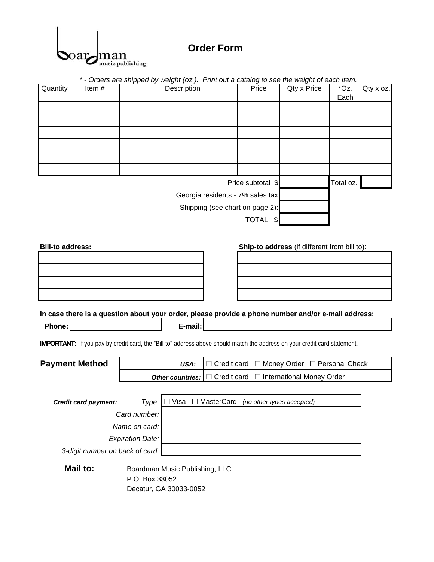

## **Order Form**

|                                                                                                                           |                                                         |                                                                     |                                                     |                   | * - Orders are shipped by weight (oz.). Print out a catalog to see the weight of each item. |           |           |  |  |  |
|---------------------------------------------------------------------------------------------------------------------------|---------------------------------------------------------|---------------------------------------------------------------------|-----------------------------------------------------|-------------------|---------------------------------------------------------------------------------------------|-----------|-----------|--|--|--|
| Quantity<br>Item#                                                                                                         | Description                                             |                                                                     |                                                     | Price             | Qty x Price                                                                                 | *Oz.      | Qty x oz. |  |  |  |
|                                                                                                                           |                                                         |                                                                     |                                                     |                   |                                                                                             | Each      |           |  |  |  |
|                                                                                                                           |                                                         |                                                                     |                                                     |                   |                                                                                             |           |           |  |  |  |
|                                                                                                                           |                                                         |                                                                     |                                                     |                   |                                                                                             |           |           |  |  |  |
|                                                                                                                           |                                                         |                                                                     |                                                     |                   |                                                                                             |           |           |  |  |  |
|                                                                                                                           |                                                         |                                                                     |                                                     |                   |                                                                                             |           |           |  |  |  |
|                                                                                                                           |                                                         |                                                                     |                                                     |                   |                                                                                             |           |           |  |  |  |
|                                                                                                                           |                                                         |                                                                     |                                                     |                   |                                                                                             |           |           |  |  |  |
|                                                                                                                           |                                                         |                                                                     |                                                     | Price subtotal \$ |                                                                                             | Total oz. |           |  |  |  |
| Georgia residents - 7% sales tax                                                                                          |                                                         |                                                                     |                                                     |                   |                                                                                             |           |           |  |  |  |
|                                                                                                                           |                                                         |                                                                     |                                                     |                   |                                                                                             |           |           |  |  |  |
| Shipping (see chart on page 2):                                                                                           |                                                         |                                                                     |                                                     |                   |                                                                                             |           |           |  |  |  |
|                                                                                                                           |                                                         |                                                                     |                                                     | TOTAL: \$         |                                                                                             |           |           |  |  |  |
|                                                                                                                           |                                                         |                                                                     |                                                     |                   |                                                                                             |           |           |  |  |  |
| <b>Bill-to address:</b>                                                                                                   |                                                         |                                                                     |                                                     |                   | Ship-to address (if different from bill to):                                                |           |           |  |  |  |
|                                                                                                                           |                                                         |                                                                     |                                                     |                   |                                                                                             |           |           |  |  |  |
|                                                                                                                           |                                                         |                                                                     |                                                     |                   |                                                                                             |           |           |  |  |  |
|                                                                                                                           |                                                         |                                                                     |                                                     |                   |                                                                                             |           |           |  |  |  |
|                                                                                                                           |                                                         |                                                                     |                                                     |                   |                                                                                             |           |           |  |  |  |
|                                                                                                                           |                                                         |                                                                     |                                                     |                   |                                                                                             |           |           |  |  |  |
| In case there is a question about your order, please provide a phone number and/or e-mail address:                        |                                                         |                                                                     |                                                     |                   |                                                                                             |           |           |  |  |  |
| Phone:                                                                                                                    |                                                         | E-mail:                                                             |                                                     |                   |                                                                                             |           |           |  |  |  |
|                                                                                                                           |                                                         |                                                                     |                                                     |                   |                                                                                             |           |           |  |  |  |
| IMPORTANT: If you pay by credit card, the "Bill-to" address above should match the address on your credit card statement. |                                                         |                                                                     |                                                     |                   |                                                                                             |           |           |  |  |  |
| <b>Payment Method</b>                                                                                                     |                                                         | $\Box$ Credit card $\Box$ Money Order $\Box$ Personal Check<br>USA: |                                                     |                   |                                                                                             |           |           |  |  |  |
|                                                                                                                           | Other countries:                                        |                                                                     | $\Box$ Credit card $\Box$ International Money Order |                   |                                                                                             |           |           |  |  |  |
|                                                                                                                           |                                                         |                                                                     |                                                     |                   |                                                                                             |           |           |  |  |  |
|                                                                                                                           | Type:                                                   |                                                                     |                                                     |                   |                                                                                             |           |           |  |  |  |
| <b>Credit card payment:</b>                                                                                               | $\Box$ Visa $\Box$ MasterCard (no other types accepted) |                                                                     |                                                     |                   |                                                                                             |           |           |  |  |  |
| Card number:                                                                                                              |                                                         |                                                                     |                                                     |                   |                                                                                             |           |           |  |  |  |
| Name on card:                                                                                                             |                                                         |                                                                     |                                                     |                   |                                                                                             |           |           |  |  |  |
| <b>Expiration Date:</b>                                                                                                   |                                                         |                                                                     |                                                     |                   |                                                                                             |           |           |  |  |  |
| 3-digit number on back of card:                                                                                           |                                                         |                                                                     |                                                     |                   |                                                                                             |           |           |  |  |  |
| Mail to:                                                                                                                  |                                                         |                                                                     |                                                     |                   |                                                                                             |           |           |  |  |  |
|                                                                                                                           |                                                         | Boardman Music Publishing, LLC<br>P.O. Box 33052                    |                                                     |                   |                                                                                             |           |           |  |  |  |
|                                                                                                                           |                                                         | Decatur, GA 30033-0052                                              |                                                     |                   |                                                                                             |           |           |  |  |  |